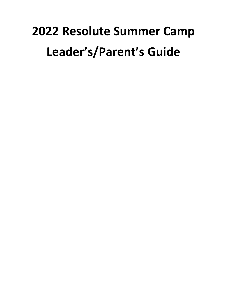# **2022 Resolute Summer Camp Leader's/Parent's Guide**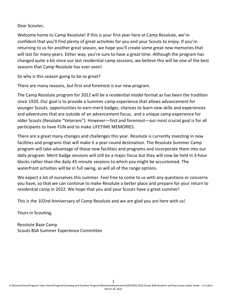Dear Scouter,

Welcome home to Camp Resolute! If this is your first year here at Camp Resolute, we're confident that you'll find plenty of great activities for you and your Scouts to enjoy. If you're returning to us for another great season, we hope you'll create some great new memories that will last for many years. Either way, you're sure to have a great time. Although the program has changed quite a bit since our last residential camp sessions, we believe this will be one of the best seasons that Camp Resolute has ever seen!

So why is this season going to be so great?

There are many reasons, but first and foremost is our new program.

The Camp Resolute program for 2022 will be a residential model format as has been the tradition since 1920. Our goal is to provide a Summer camp experience that allows advancement for younger Scouts, opportunities to earn merit badges, chances to learn new skills and experiences and adventures that are outside of an advancement focus, and a unique camp experience for older Scouts (Resolute "Veterans"). However—first and foremost—our most crucial goal is for all participants to have FUN and to make LIFETIME MEMORIES.

There are a great many changes and challenges this year. Resolute is currently investing in new facilities and programs that will make it a year-round destination. The Resolute Summer Camp program will take advantage of those new facilities and programs and incorporate them into our daily program. Merit badge sessions will still be a major focus but they will now be held in 3-hour blocks rather than the daily 45-minute sessions to which you might be accustomed. The waterfront activities will be in full swing, as will all of the range options.

We expect a lot of ourselves this summer. Feel free to come to us with any questions or concerns you have, so that we can continue to make Resolute a better place and prepare for your return to residential camp in 2022. We hope that you and your Scouts have a great summer!

This is the 102nd Anniversary of Camp Resolute and we are glad you are here with us!

Yours in Scouting,

Resolute Base Camp Scouts BSA Summer Experience Committee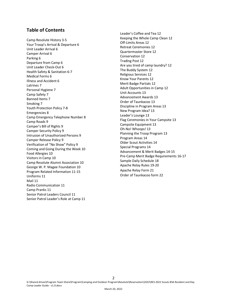# **Table of Contents**

Camp Resolute History 3-5 Your Troop's Arrival & Departure 6 Unit Leader Arrival 6 Camper Arrival 6 Parking 6 Departure from Camp 6 Unit Leader Check-Out 6 Health Safety & Sanitation 6-7 Medical Forms 6 Illness and Accident 6 Latrines 7 Personal Hygiene 7 Camp Safety 7 Banned Items 7 Smoking 7 Youth Protection Policy 7-8 Emergencies 8 Camp Emergency Telephone Number 8 Camp Roads 9 Camper's Bill of Rights 9 Camper Security Policy 9 Intrusion of Unauthorized Persons 9 Camper Release Policy 9 Verification of "No Show" Policy 9 Coming and Going During the Week 10 Food Allergies 10 Visitors in Camp 10 Camp Resolute Alumni Association 10 George W. P. Magee Foundation 10 Program Related Information 11-15 Uniforms 11 Mail 11 Radio Communication 11 Camp Pranks 11 Senior Patrol Leaders Council 11 Senior Patrol Leader's Role at Camp 11

Leader's Coffee and Tea 12 Keeping the Whole Camp Clean 12 Off-Limits Areas 12 Retreat Ceremonies 12 Quartermaster Store 12 Conservation 12 Trading Post 12 Are you tired of camp laundry? 12 The Buddy System 12 Religious Services 12 Know Your Parents 12 Merit Badge Partials 12 Adult Opportunities in Camp 12 Unit Accounts 13 Advancement Awards 13 Order of Taunkacoo 13 Discipline in Program Areas 13 New Program Idea? 13 Leader's Lounge 13 Flag Ceremonies in Your Campsite 13 Campsite Equipment 13 Oh-No! Whoops! 13 Planning the Troop Program 13 Program Areas 14 Older Scout Activities 14 Special Programs 14 Advancement & Merit Badges 14-15 Pre-Camp Merit Badge Requirements 16-17 Sample Daily Schedule 18 Apache Relay Rules 19-20 Apache Relay Form 21 Order of Taunkacoo form 22

2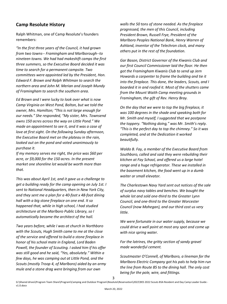# **Camp Resolute History**

Ralph Whitman, one of Camp Resolute's founders remembers:

*"In the first three years of the Council, it had grown from two towns-- Framingham and Marlborough--to nineteen towns. We had had makeshift camps the first three summers, so the Executive Board decided it was time to search for a permanent campsite. Two committees were appointed led by the President, Hon. Edward F. Brown and Ralph Whitman to search the northern area and John M. Merian and Joseph Mundy of Framingham to search the southern area.*

*Ed Brown and I were lucky to look over what is now Camp Virginia on West Pond, Bolton, but we told the owner, Mrs. Hamilton; "This is not large enough for our needs." She responded, "My sister, Mrs. Townsend owns 150 acres across the way on Little Pond." We made an appointment to see it, and it was a case of love at first sight. On the following Sunday afternoon, the Executive Board met on the plateau in the rain, looked out on the pond and voted unanimously to purchase it.*

*If my memory serves me right, the price was \$60 per acre, or \$9,000 for the 150 acres. In the present market one shoreline lot would be worth more than that.*

*This was about April 1st, and it gave us a challenge to get a building ready for the camp opening on July 1st. I sent to National Headquarters, then in New York City, and they sent me a plan for a 40-foot x 48-foot dining hall with a big stone fireplace on one end. It so happened that, while in high school, I had studied architecture at the Marlboro Public Library, so I automatically became the architect of the hall.*

*Two years before, while I was at church in Northboro with the Scouts, Hugh Smith came to me at the close of the service and offered to build a stone fireplace in honor of his school mate in England, Lord Baden Powell, the founder of Scouting. I asked him if his offer was still good and he said, "Yes, absolutely." Within a few days, he was camping out at Little Pond, and the Scouts (mostly Troop 4, of Marlboro) aided by an army mule and a stone drag were bringing from our own* 

*walls the 50 tons of stone needed. As the fireplace progressed, the men of this Council, including President Brown, Russell Frye, President of the Marlboro Peoples National Bank, Henry Warren of Ashland, inventor of the Telechron clock, and many others put in the rest of the foundation.*

*Gar Bason, District Governor of the Kiwanis Club and our first Council Commissioner laid the floor. He then got the Framingham Kiwanis Club to send up Jern Howards a carpenter to frame the building and tie it into the fireplace. This done, the leaders, Scouts, and I boarded it in and roofed it. Most of the shutters came from the Mount Waith Camp meeting grounds in Framingham, the gift of Rev. Henry Bray.*

*On the day that we were to top the big fireplace, it was 100 degrees in the shade and speaking both for Mr. Smith and myself, I suggested that we postpone the toppery. "Nothing doing," was Mr. Smith's reply. "This is the perfect day to top the chimney." So it was completed, and at the Dedication it worked beautifully.*

*Waldo B. Fay, a member of the Executive Board from Southboro, called and said they were rebuilding their kitchen at Fay School, and offered us a large hotel range and a huge refrigerator. These we installed in the basement kitchen, the food went up in a dumb waiter or small elevator.*

*The Charlestown Navy Yard sent out notices of the sale of surplus navy tables and benches. We bought the whole lot and sold one-third to the Greater Lynn Council, and one-third to the Greater Worcester Council (now Mohegan), and our third cost us very little.*

*We were fortunate in our water supply, because we could drive a well point at most any spot and come up with nice spring water.*

*For the latrines, the gritty section of sandy gravel made wonderful cement.*

*Scoutmaster O'Connell, of Marlboro, a lineman for the Marlboro Electric Company got his pals to help him run the line from Route 85 to the dining hall. The only cost being for the pole, wire, and fittings.*

3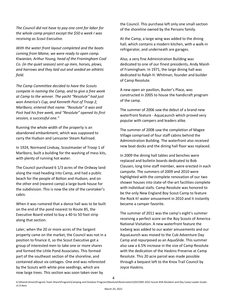*The Council did not have to pay one cent for labor for the whole camp project except the \$50 a week I was receiving as Scout Executive.*

*With the water front layout completed and the boats coming from Maine, we were ready to open camp. Kiwanian, Arthur Young, head of the Framingham Coal Co. (in the quiet season) sent up men, horses, plows, and harrows and they laid out and seeded an athletic field.*

*The Camp Committee decided to have the Scouts compete in naming the Camp, and to give a free week at Camp to the winner. The yacht "Resolute" had just won America's Cup, and Kenneth Post of Troop 2, Marlboro, entered that name. "Resolute" it was and Post had his free week, and "Resolute" opened its first session, a successful one."*

Running the whole width of the property is an abandoned embankment, which was supposed to carry the Hudson and Lancaster Steam Railroad.

In 1924, Normand Lindsay, Scoutmaster of Troop 1 of Marlboro, built a building for the washing of mess kits, with plenty of running hot water.

The Council purchased 6 1/3 acres of the Ordway land along the road heading into Camp, and had a public beach for the people of Bolton and Hudson, and on the other end (nearest camp) a large bunk house for the subdivision. This is now the site of the caretaker's cabin.

When it was rumored that a dance hall was to be built on the end of the pond nearest to Route 85, the Executive Board voted to buy a 40 to 50 foot strip along that section.

Later, when the 20 or more acres of the Sargent property came on the market, the Council was not in a position to finance it, so the Scout Executive got a group of interested men to take one or more shares and formed the Little Pond Associates. This formed part of the southeast section of the shoreline, and contained about six cottages. One end was reforested by the Scouts with white pine seedlings, which are now large trees. This section was soon taken over by

the Council. This purchase left only one small section of the shoreline owned by the Persons family.

At the Camp, a large wing was added to the dining hall, which contains a modern kitchen, with a walk-in refrigerator, and underneath are garages.

Also, a very fine Administration Building was dedicated to one of our finest presidents, Andy Maish of Framingham. In 1971, the large dining hall was dedicated to Ralph H. Whitman, founder and builder of Camp Resolute.

A new open air pavilion, Buster's Place, was constructed in 2005 to house the handicraft program of the camp.

The summer of 2006 saw the debut of a brand new waterfront feature - AquaLaunch which proved very popular with campers and leaders alike.

The summer of 2008 saw the completion of Magee Village comprised of four staff cabins behind the Administration Building. The waterfront also received new boat docks and the dining hall floor was replaced.

In 2009 the dining hall tables and benches were replaced and bulletin boards dedicated to Bob Clausen, long time staff member, were erected in each campsite. The summers of 2009 and 2010 were highlighted with the complete renovation of our two shower houses into state-of-the-art facilities complete with individual stalls. Camp Resolute was honored to be the only New England Boy Scout Camp to feature the Rock It! water amusement in 2010 and it instantly became a camper favorite.

The summer of 2011 was the camp's eight's summer receiving a perfect score on the Boy Scouts of America National Visitation. A new waterfront feature the Iceberg was added to our water amusements and our AquaLaunch was moved to the Cub Adventure Day Camp and repurposed as an AquaSlide. This summer also saw a 6.5% increase in the size of Camp Resolute with the dedication of the Haskins Preserve at Camp Resolute. This 20 acre parcel was made possible through a bequest left to the Knox Trail Council by Joyce Haskins.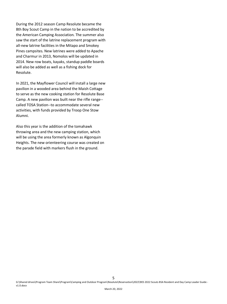During the 2012 season Camp Resolute became the 8th Boy Scout Camp in the nation to be accredited by the American Camping Association. The summer also saw the start of the latrine replacement program with all-new latrine facilities in the Mitapo and Smokey Pines campsites. New latrines were added to Apache and Charmur in 2013, Nomolos will be updated in 2014. New row boats, kayaks, standup paddle boards will also be added as well as a fishing dock for Resolute.

In 2021, the Mayflower Council will install a large new pavilion in a wooded area behind the Maish Cottage to serve as the new cooking station for Resolute Base Camp. A new pavilion was built near the rifle range- called TOSA Station--to accommodate several new activities, with funds provided by Troop One Stow Alumni.

Also this year is the addition of the tomahawk throwing area and the new camping station, which will be using the area formerly known as Algonquin Heights. The new orienteering course was created on the parade field with markers flush in the ground.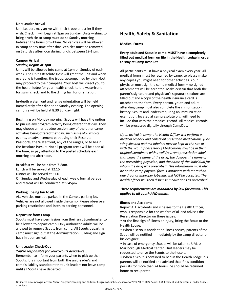#### **Unit Leader Arrival**

Unit Leaders may arrive with their troop or earlier if they wish. Check in will begin at 1pm on Sunday. Units wishing to bring a vehicle to camp must do so Sunday morning between the hours of 9-11am. No vehicles will be allowed in camp at any time after that. Vehicles must be removed on Saturday afternoon during lunch, between 12-1 pm.

# **Camper Arrival**

## *Sunday, Begins at 1pm*

Units will be allowed into camp at 1pm on Sunday of each week. The Unit's Resolute Host will greet the unit and when everyone is together, the troop, accompanied by their Host may proceed to their campsite. Your host will direct you to the health lodge for your health check, to the waterfront for swim check, and to the dining hall for orientation.

In-depth waterfront and range orientation will be held immediately after dinner on Sunday evening. The opening campfire will be held at 8:30 Sunday night.

Beginning on Monday morning, Scouts will have the option to pursue any program activity being offered that day. They may choose a merit badge session, any of the other camp activities being offered that day, such as Res-O-Lympics events, an advancement path using their Resolute Passports, the Waterfront, any of the ranges, or to begin the Resolute Pursuit. Not all program areas will be open all the time, so pay attention to the posted schedule each morning and afternoon.

Breakfast will be held from 7-8am. Lunch will be served at 12:15 Dinner will be served at 6:00 On Sunday and Wednesday of each week, formal parade and retreat will be conducted at 5:45pm.

#### **Parking...being fair to all**

ALL vehicles must be parked in the Camp's parking lot. Vehicles are not allowed inside the camp. Please observe all parking restrictions and listen to parking personnel.

#### **Departure from Camp**

Scouts must have permission from their unit Scoutmaster to be allowed to depart camp. Only authorized adults will be allowed to remove Scouts from camp. All Scouts departing camp must sign out at the Administration Building and sign back in upon arrival.

# **Unit Leader Check-Out**

#### *You're responsible for your Scouts departure...*

Remember to inform your parents when to pick up their Scouts. It is important from both the unit leader's and camp's liability standpoint that unit leaders not leave camp until all Scouts have departed.

# **Health, Safety & Sanitation**

#### **Medical Forms**

# **Every adult and Scout in camp MUST have a completely filled out medical form on file in the Health Lodge in order to stay at Camp Resolute.**

All participants must have a physical exam every year. All medical forms must be retained by camp, so please make any copies you might need for other activities. Your physician must sign the camp medical form – no signed attachments will be accepted. Make certain that both the parent's signature and physician's signature sections are filled out and a copy of the health insurance card is attached to the form. Every person, youth and adult, attending camp must also complete the immunization history. Scouts and leaders requiring an immunization exemption, located at campresolute.org, will need to include that with their medical record. All medical records will be processed digitally through CampDoc.

*Upon arrival in camp, the Health Officer will perform a medical recheck and collect all prescribed medications. (Bee sting kits and asthma inhalers may be kept at the site or with the Scout if necessary.) Medications must be in their original containers with a valid/current prescription label that bears the name of the drug, the dosage, the name of the prescribing physician, and the name of the individual for whom the drug was prescribed. This information must also be on the camp physical form. Containers with more than one drug, or improper labeling, will NOT be accepted. The health officer will then dispense medications as prescribed.* 

# *These requirements are mandated by law for camps. This applies to all youth AND adults.*

#### **Illness and Accidents**

Report ALL accidents and illnesses to the Health Officer, who is responsible for the welfare of all and advises the Reservation Director on these issues:

• At the first sign of illness or injury, bring the Scout to the Health Lodge.

• When a serious accident or illness occurs, parents of the Scout will be notified immediately by the camp director or his designee.

• In case of emergency, Scouts will be taken to UMass Marlborough Medical Center. Unit leaders may be requested to drive the Scouts to the hospital.

• When a Scout is confined to bed in the Health Lodge, his parents will be notified and advised that if his condition persists for more than 24 hours, he should be returned home to recuperate.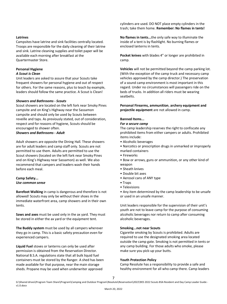#### **Latrines**

Campsites have latrine and sink facilities centrally located. Troops are responsible for the daily cleaning of their latrine and sink. Latrine cleaning supplies and toilet paper will be available each morning after breakfast at the Quartermaster Store.

#### **Personal Hygiene**

#### *A Scout is Clean*

Unit leaders are asked to assure that your Scouts take frequent showers for personal hygiene and out of respect for others. For the same reasons, plus to teach by example, leaders should follow the same practice. A Scout is Clean!

#### *Showers and Bathrooms - Scouts*

Scout showers are located on the left fork near Smoky Pines campsite and on King's Highway near the Sassamon campsite and should only be used by Scouts between reveille and taps. As previously stated, out of consideration, respect and for reasons of hygiene, Scouts should be encouraged to shower often.

#### *Showers and Bathrooms - Adult*

Adult showers are opposite the Dining Hall. These showers are for adult leaders and camp staff only. Scouts are not permitted to use them. Adults are permitted to use the Scout showers (located on the left fork near Smoky Pines and on King's Highway near Sassamon) as well. We also recommend that campers and leaders wash their hands before each meal.

## **Camp Safety...**  *Use common sense*

**Barefoot Walking** in camp is dangerous and therefore is not allowed! Scouts may only be without their shoes in the immediate waterfront area, camp showers and in their own tents.

**Saws and axes** must be used only in the ax yard. They must be stored in either the ax yard or the equipment tent.

**The Buddy system** must be used by all campers wherever they go in camp. This is a basic safety precaution even for experienced campers.

**Liquid Fuel** stoves or lanterns can only be used after permission is obtained from the Reservation Director. National B.S.A. regulations state that all bulk liquid fuel containers must be stored by the Ranger. A shed has been made available for that purpose, near the main storage sheds. Propane may be used when underwriter approved

cylinders are used. DO NOT place empty cylinders in the trash; take them home. **Remember: No flames in tents!** 

**No flames in tents...**the only safe way to illuminate the inside of a tent is by flashlight. No burning flames or enclosed lanterns in tents.

**Pocket knives** with blades 4" or longer are prohibited in camp.

**Vehicles** will not be permitted beyond the camp parking lot. (With the exception of the camp truck and necessary camp vehicles approved by the camp director.) The preservation of a sound camp environment is most important in this regard. Under no circumstances will passengers ride on the beds of trucks. In addition all riders must be wearing seatbelts.

**Personal Firearms, ammunition**, **archery equipment and projectile equipment** are not allowed in camp.

#### **Banned Items...**

#### *For a secure camp*

The camp leadership reserves the right to confiscate any prohibited items from either campers or adults. Prohibited items include:

- Alcoholic beverages
- Narcotics or prescription drugs in unmarked or improperly marked containers
- Fireworks
- Bow or arrows, guns or ammunition, or any other kind of weapon
- Sheath knives
- Double bit axes
- Aerosol cans of ANY type
- Traps
- Televisions

• Any item determined by the camp leadership to be unsafe or used in an unsafe manner.

Unit leaders responsible for the supervision of their unit's youth are not to leave camp for the purpose of consuming alcoholic beverages nor return to camp after consuming alcoholic beverages.

#### **Smoking...not near Scouts**

Cigarette smoking by Scouts is prohibited. Adults are required to use the designated smoking area located outside the camp gate. Smoking is not permitted in tents or any camp building. For those adults who smoke, please make sure you pick-up your butts.

#### **Youth Protection Policy**

Camp Resolute has a responsibility to provide a safe and healthy environment for all who camp there. Camp leaders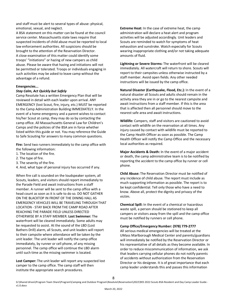and staff must be alert to several types of abuse: physical, emotional, sexual, and neglect.

A BSA statement on this matter can be found at the council service center. Massachusetts state laws require that suspected incidents of child abuse must be reported to local law enforcement authorities. All suspicions should be brought to the attention of the Reservation Director. A close examination of this matter could identify some troops' "initiations" or hazing of new campers as child abuse. Please be aware that hazing and initiations will not be permitted or tolerated. Troops or individuals engaging in such activities may be asked to leave camp without the advantage of a refund.

#### **Emergencies...**

## *Stay Calm, Act Quickly but Safely*

Camp Resolute has a written Emergency Plan that will be reviewed in detail with each leader upon arrival. ANY EMERGENCY (lost Scout, fire, injury, etc.) MUST be reported to the Camp Administration Building IMMEDIATELY. In the event of a home emergency and a parent wishes to contact his/her Scout at camp, they may do so by contacting the camp office. All Massachusetts General Law for Children's Camps and the policies of the BSA are in force whether listed within this guide or not. You may reference the Guide to Safe Scouting for answers to many common questions.

**Fire:** Send two runners immediately to the camp office with the following information:

- 1. The location of the fire.
- 2. The type of fire.
- 3. The severity of the fire.
- 4. And, what type of personal injury has occurred if any.

When fire call is sounded on the loudspeaker system, all Scouts, leaders, and visitors should report immediately to the Parade Field and await instructions from a staff member. A runner will be sent to the camp office with a head count as soon as it is safe to do so. DO NOT GATHER ON THE BLACKTOP IN FRONT OF THE DINING HALL AS EMERGENCY VEHICLES WILL BE TRAVELING THROUGH THAT LOCATION - STAY BACK FROM THE CAMP ROAD AFTER REACHING THE PARADE FIELD UNLESS DIRECTED OTHERWISE BY A STAFF MEMBER. **Lost Swimmer:** The waterfront will be cleared immediately. Some adults may be requested to assist. At the sound of the LBD (Lost Bathers Drill) alarm, all Scouts, and unit leaders will report to their campsite where attendance will be taken by the unit leader. The unit leader will notify the camp office immediately, by runner or cell phone, of any missing personnel. The camp office will continue the LBD alarm until such time as the missing swimmer is located.

**Lost Camper:** The unit leader will report any suspected lost camper to the camp office. The camp staff will then institute the appropriate search procedures.

**Extreme Heat:** In the case of extreme heat, the camp administration will declare a heat alert and program activities will be adjusted accordingly. Unit leaders and Scouts are reminded to watch for symptoms of heat exhaustion and sunstroke. Watch especially for Scouts wearing inappropriate clothing and/or not taking adequate amounts of fluid.

**Lightning or Severe Storms:** The waterfront will be cleared immediately. All watercraft will return to shore. Scouts will report to their campsites unless otherwise instructed by a staff member. Avoid open fields. Any other needed instructions will be issued by the camp office.

**Natural Disaster (Earthquake, Flood, Etc.):** In the event of a natural disaster all Scouts and adults should remain in the activity area they are in or go to the nearest campsite and await instructions from a staff member. If this is the area that is affected then all personnel should move to the nearest safe area and await instructions.

**Wildlife:** Campers, staff and visitors are cautioned to avoid contact with wildlife on the reservation at all times. Any injury caused by contact with wildlife must be reported to the Camp Health Officer as soon as possible. The Camp Health Officer will notify the Camp Office and the necessary local authorities as required.

**Major Accidents & Death:** In the event of a major accident or death, the camp administrative team is to be notified by reporting the accident to the camp office by runner or cell phone.

**Child Abuse:** The Reservation Director must be notified of any incidence of child abuse. The report must include as much supporting information as possible. The report is to be kept confidential. Tell only those who have a need to know. Above all, protect the dignity and privacy of the victim.

**Chemical Spill:** In the event of a chemical or hazardous waste spill, a person should be stationed to keep all campers or visitors away from the spill and the camp office must be notified by runners or cell phone.

#### **Camp Office/Emergency Number: (978) 779-2777**

All serious medical emergencies will be treated at the UMass Marlborough Medical Center and parents/guardians will immediately be notified by the Reservation Director or his representative of all details as they become available. In order to reduce miscommunication of information, we ask that leaders carrying cellular phones do not notify parents of accidents without authorization from the Reservation Director or his designee. It is of great importance that each camp leader understands this and passes this information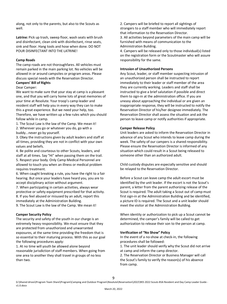along, not only to the parents, but also to the Scouts as well.

**Latrine:** Pick up trash, sweep floor, wash seats with brush and disinfectant, clean sink with disinfectant, rinse seats, sink and floor. Hang tools and hose when done. DO NOT POUR DISINFECTANT INTO THE LATRINE!

#### **Camp Roads**

The camp roads are not thoroughfares. All vehicles must remain parked in the main parking lot. No vehicles will be allowed in or around campsites or program areas. Please discuss special needs with the Reservation Director.

# **Campers' Bill of Rights**

# Dear Camper:

We want to make sure that your stay at camp is a pleasant one, and that you will carry home lots of great memories of your time at Resolute. Your troop's camp leader and resident staff will help you in every way they can to make this a great experience. But we need your help, too. Therefore, we have written up a few rules which you should follow while in camp.

1. The Scout Law is the law of the Camp. We mean it!

2. Wherever you go or whatever you do, go with a buddy...never go by yourself.

3. Obey the instructions given by adult leaders and staff at all times, providing they are not in conflict with your own values and beliefs.

4. Be polite and courteous to other Scouts, leaders, and staff at all times. Say "Hi" when passing them on the trail. 5. Respect your body. Only Camp Medical Personnel are allowed to touch you when an illness or medical problem requires treatment.

6. When caught breaking a rule, you have the right to a fair hearing. But once your leaders have heard you, you are to accept disciplinary action without argument.

7. When participating in certain activities, always wear protective or safety equipment prescribed for that activity. 8. If you feel abused or misused by an adult, report this immediately at the Administration Building.

9. The Scout Law is the law of the Camp. We mean it!

#### **Camper Security Policy**

The security and safety of the youth in our charge is an extremely heavy responsibility. We must ensure that they are protected from unauthorized and unwarranted exposures, at the same time providing the freedom that is so essential to their maturing process. With this as our goal the following procedures apply:

1. At no time will youth be allowed alone beyond reasonable jurisdiction of staff members. When going from one area to another they shall travel in groups of no less than two.

2. Campers will be briefed to report all sightings of strangers to a staff member who will immediately report that information to the Reservation Director.

3. All activities beyond parameters of the main camp will be furnished with means of communication to the Administration Building.

4. Campers will be released only to those individual(s) listed on the registration form or the Scoutmaster who will assure responsibility for the same.

#### **Intrusion of Unauthorized Persons**

Any Scout, leader, or staff member suspecting intrusion of an unauthorized person shall be instructed to report immediately to their leader or staff member of the area they are currently working. Leaders and staff shall be instructed to give a brief salutation if possible and direct them to sign-in at the administration office. If you are uneasy about approaching the individual or are given an inappropriate response, they will be instructed to notify the Reservation Director of his/her designee immediately. The Reservation Director shall assess the situation and ask the person to leave camp or notify authorities if appropriate.

#### **Camper Release Policy**

Unit leaders are asked to inform the Reservation Director in advance of any Scout who intends to leave camp during the week. The safety of our campers is a shared responsibility. Please ensure the Reservation Director is informed of any situation which could result in a Scout being released to someone other than an authorized adult.

Child custody disputes are especially sensitive and should be relayed to the Reservation Director.

Before a Scout can leave camp the adult escort must be identified by the unit leader. If the escort is not the Scout's parent, a letter from the parent authorizing release of the Scout is required. The adult taking a Scout out of camp must first sign-in at the Administration Building and be identified, a picture ID is required. The Scout and a unit leader should meet the visitor at the Administration Building.

When identity or authorization to pick up a Scout cannot be determined, the camper's family will be called to get authorization to release their son to the person at camp.

#### **Verification of "No Show" Policy**

In the event of a no-show at check-in, the following procedures shall be followed:

1. The unit leader should verify why the Scout did not arrive at camp and inform the camp director.

2. The Reservation Director or Business Manager will call the Scout's family to verify the reason(s) of his absence from camp.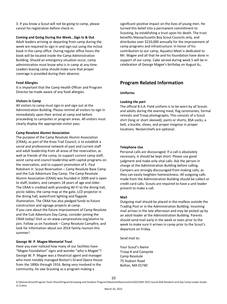3. If you know a Scout will not be going to camp, please cancel his registration before check-in.

#### **Coming and Going During the Week...Sign In & Out**

Adult leaders arriving or departing from camp during the week are required to sign in and sign out using the in/out book in the camp office. During regular office hours the book will be located inside the Camp Administration Building. Should an emergency situation occur, camp administration must know who is in camp at any time. Leaders leaving camp should make sure that proper coverage is provided during their absence.

## **Food Allergies**

It is important that the Camp Health Officer and Program Director be made aware of any food allergies.

#### **Visitors in Camp**

All visitors to camp must sign-in and sign-out at the Administration Building. Please remind all visitors to sign in immediately upon their arrival at camp and before proceeding to campsites or program areas. All visitors must clearly display the appropriate visitor pass.

## **Camp Resolute Alumni Association**

The purpose of the Camp Resolute Alumni Association (CRAA), as part of the Knox Trail Council, is to establish a social and professional network of past and current staff and adult leadership from all areas of the reservation, as well as friends of the camp, to support current camp staff, assist camp and council leadership with capital programs on the reservation, and to support promotion of E. Paul Robsham Jr. Scout Reservation – Camp Resolute Base Camp and the Cub Adventure Day Camp. The Camp Resolute Alumni Association (CRAA) was founded in 2009 and is open to staff, leaders, and campers 18 years of age and older. The CRAA is credited with providing Wi-Fi to the dining hall, picnic tables, the camp map at the gate, LCD projector in the dining hall, waterfront lighting and flagpole illumination. The CRAA has also pledged funds to future construction and signage projects at camp. If you care about the future improvement of Camp Resolute and the Cub Adventure Day Camp, consider joining the CRAA today! Visit us on www.campresolute.org/alumni to join. Follow us on Facebook – Camp Resolute Campfire, and look for information about our 2014 family reunion this summer!

# **George W. P. Magee Memorial Trust**

Have you ever noticed how many of our facilities have "Magee Foundation" signs and wonder "who is Magee"? George W. P. Magee was a theatrical agent and manager who most notably managed Boston's Grand Opera House from the 1890s through 1916. Being very involved in the community, he saw Scouting as a program making a

significant positive impact on the lives of young men. He turned this belief into a permanent commitment to Scouting, by establishing a trust upon his death. The trust benefits Massachusetts Boy Scout Councils only, and distributes over \$210,000 annually for the improvement of camp programs and infrastructure. In honor of his contribution to our camp, Aquatics Meet is dedicated to Mr. Magee and all that he and his foundation have done in support of our camp. Cake served during week 5 will be in celebration of George Magee's birthday on August 6th.

# **Program Related Information**

## **Uniforms**

## *Looking the part*

The official B.S.A. Field uniform is to be worn by all Scouts and adults during the evening meal, flag ceremonies, formal retreats and Troop photographs. This consists of a Scout shirt (long or short sleeved), pants or shorts, BSA socks, a belt, a buckle, shoes, and proper insignias in proper locations. Neckerchiefs are optional.

#### **Telephone Use**

Personal calls are discouraged. If a call is absolutely necessary, it should be kept short. Please use good judgment and make only vital calls. Ask the person in charge at the Administration Building before calling. Campers are strongly discouraged from making calls, as they can easily heighten homesickness. All outgoing calls made from the Administration Building should be collect or credit card calls. Scouts are required to have a unit leader present to make a call.

#### **Mail**

Outgoing mail should be placed in the mailbox outside the Trading Post or in the Administration Building. Incoming mail arrives in the late afternoon and may be picked up by an adult leader at the Administration Building. Parents should send mail early in the week or even prior to the week to make sure it arrives in camp prior to the Scout's departure on Friday.

Send mail to:

Your Scout's Name Troop # and Campsite Camp Resolute 75 Hudson Road Bolton, MA 01740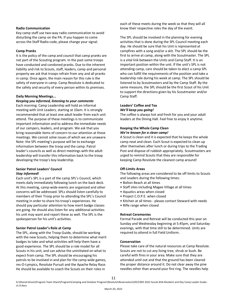#### **Radio Communication**

Key camp staff use two-way radio communication to avoid disturbing the camp on the PA. If you happen to come across the Staff Radio code, please change your signal.

# **Camp Pranks**

It is the policy of the camp and council that camp pranks are not part of the Scouting program. In the past some troops have conducted and condoned pranks. Due to the inherent liability and risk to Scouts, staff, leaders, camp and personal property we ask that troops refrain from any and all pranks in camp. Once again, the main reason for this rule is the safety of everyone in camp. Camp Resolute is dedicated to the safety and security of every person within its premises.

## **Daily Morning Meetings...**

*Keeping you informed, listening to your comments*  Each morning Camp Leadership will hold an informal meeting with Unit Leaders, starting at 10am. It is strongly recommended that at least one adult leader from each unit attend. The purpose of these meetings is to communicate important information and to address the immediate needs of our campers, leaders, and program. We ask that you bring reasonable items of concern to our attention at these meetings. We cannot solve issues of which we are unaware. Note: the SPL meeting's purpose will be to exchange information between the troop and the camp. Patrol leader's councils as well as direct meetings with the adult leadership will transfer this information back to the troop developing the troop's boy leadership.

## **Senior Patrol Leaders' Council**  *Stay informed!*

Each unit's SPL is a part of the camp SPL's Council, which meets daily immediately following lunch on the back deck. At this meeting, camp-wide events are organized and other concerns will be addressed. SPLs should listen carefully to members of their Troop prior to attending the SPL's Council meeting in order to share his troop's experiences. He should pay particular attention to how merit badge classes are going. He should also listen for any additional activities his unit may want and report these as well. The SPL is the spokesperson for his unit's activities.

#### **Senior Patrol Leader's Role at Camp**

The SPL, along with the Troop Guide, should be working with the new Scouts, helping them to determine what merit badges to take and what activities will help them have a good experience. The SPL should be a role model for all Scouts in his unit, and can advise the uninitiated on what to expect from camp. The SPL should be encouraging his patrols to be involved in and plan for the camp wide games, res-O-Lympics, Resolute Pursuit and the Apache Relay Race. He should be available to coach the Scouts on their roles in

each of these meets during the week so that they will all know their respective roles the day of the event.

The SPL should be involved in the planning for evening activities that is done during the SPL Council meeting each day. He should be sure that his Unit is represented at campfires with a song and/or a skit. The SPL should be the first to arrive at camp, along with the Scoutmaster. The SPL is a vital link between the Units and Camp Staff. It is an important position within the unit. If the unit's SPL is not attending camp, care should be taken to elect a camp SPL who can fulfill the requirements of the position and take a leadership role during his week at camp. The SPL should be listened to by Scoutmasters and by the Camp Staff. By the same measure, the SPL should be the first Scout of his Unit to support the directions given by his Scoutmaster and/or Camp Staff.

# **Leaders' Coffee and Tea**  *We'll keep you going!*

The coffee is always hot and fresh for you and your adult leaders at the Dining Hall. Feel free to enjoy it anytime.

# **Keeping the Whole Camp Clean**  *We're known for a clean camp!*

A Scout is clean and it is expected that he keeps the whole camp neat and clean. Each Scout is expected to clean up after themselves after lunch or during trips to the Trading Post and dispose of rubbish appropriately. Scoutmasters are urged to remind Scouts that they are responsible for keeping Camp Resolute the cleanest camp around!

# **Off-Limits Areas**

The following areas are considered to be off limits to Scouts and Leaders during the following times:

- Bolton Beach at all times
- Staff sites including Magee Village at all times
- Aquatics areas when closed
- Project C.O.P.E. when closed
- Kitchen at all times please contact Steward with needs
- Rifle range when closed

# **Retreat Ceremonies**

Formal Parade and Retreat will be conducted this year on Sunday and Wednesday beginning at 5:45pm, and Saturday evenings, with that time still to be determined. Units are required to attend in full Field Uniform.

#### **Conservation**

Please take care of the natural resources at Camp Resolute. Scouts are not to cut any living tree, shrub or bush. Be careful with fires in your area. Make sure that they are attended until out and that the ground has been cleared the proper distance around it. Do not clear away the pine needles other than around your fire ring. The needles help

11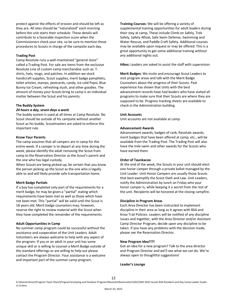they are. All sites should be "naturalized" each morning before the unit starts their schedule. These details will contribute to a favorable inspection score when the Commissioners check your site, so be sure to mention these procedures to Scouts in charge of the campsite each day.

protect against the effects of erosion and should be left as

# **Trading Post**

Camp Resolute runs a well-maintained "general store" called a Trading Post. For sale are items from the exclusive Resolute Line of custom camp merchandise such as: Tshirts, hats, mugs, and patches. In addition we stock handicraft supplies, Scout supplies, merit badge pamphlets, toilet articles, stamps, postcards, candy, ice cold Pepsi, Blue Bunny Ice Cream, refreshing slush, and other goodies. The amount of money your Scouts bring to camp is an individual matter between the Scout and his parents.

#### **The Buddy System**

#### *24 hours a day, seven days a week*

The buddy system is used at all times at Camp Resolute. No Scout should be outside of his campsite without another Scout as his buddy. Scoutmasters are asked to enforce this important rule.

#### **Know Your Parents**

The camp assumes that all campers are in camp for the entire week. If a camper is to depart at any time during the week, please identify the adult removing the Scout from camp to the Reservation Director as the Scout's parent and the one who has legal custody.

When Scouts are being picked-up, be certain that you know the person picking up the Scout as the one who is legally able to and will likely provide safe transportation home.

#### **Merit Badge Partials**

If a boy has completed only part of the requirements for a merit badge, he may be given a "partial" stating which requirements have been met as well as those which have not been met. This "partial" will be valid until the Scout is 18 years old. Merit badge counselors may, however, reserve the right to review material with the Scout when they have completed the remainder of the requirements.

#### **Adult Opportunities in Camp**

No summer camp program could be successful without the assistance and cooperation of the Unit Leaders. Adult Volunteers are always welcome to help with any aspect of the program. If you or an adult in your unit has some unique skill or is willing to counsel a Merit Badge outside of the standard offerings or are willing to help out please contact the Program Director. Your assistance is a welcome and important part of the summer camp program.

**Training Courses:** We will be offering a variety of supplemental training opportunities for adult leaders during their stay at camp. These include Climb on Safely, Trek Safely, Safety Afloat, Safe Swim Defense, Swimming and Water Rescue, and Paddle Craft Safety. Additional courses may be available upon request or may be offered. This is a great opportunity to get some additional training without any additional nights out.

**Hikes:** Leaders are asked to assist the staff with supervision.

**Merit Badges:** We invite and encourage Scout Leaders to visit program areas and talk with the Merit Badge Counselors about the progress of their Scouts. Past experience has shown that Units with the best advancement records have had leaders who have visited all programs to make sure that their Scouts are where they are supposed to be. Progress tracking sheets are available to check in the Administration building.

#### **Unit Accounts**

Unit accounts are not available at camp.

#### **Advancement Awards**

Advancement awards, badges of rank, Resolute awards, merit badges that have been offered at camp, etc., will be available from the Trading Post. The Trading Post will also have the mile swim and other awards for the Scouts who have earned them.

#### **Order of Taunkacoo**

At the end of the week, the Scouts in your unit should elect one honor camper through a private ballot managed by the Unit Leader. Unit Honor Campers are usually those Scouts that best exemplify the Scout Oath and Law. Unit Leaders, notify the Administration by lunch on Friday who your honor camper is, while keeping it a secret from the rest of the unit. Recipients will be honored at the closing campfire.

#### **Discipline in Program Areas**

Each Area Director has been instructed to implement discipline in their area as long as it agrees with BSA and Knox Trail Policies. Leaders will be notified of any discipline issues and together, with the Area Director and/or Assistant Camp Director Program, decide upon any discipline to be taken. If you have any problems with the decision made, please see the Reservation Director.

#### **New Program Idea?!?!**

Got an idea for a new program? Talk to the area director and Program Director and we'll see what we can do. We're always open to thoughtful suggestions!

#### **Leader's Lounge**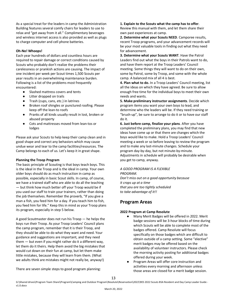As a special treat for the leaders in camp the Administration Building features several comfy chairs for leaders to use to relax and "get away from it all." Complimentary beverages and wireless internet access is also provided as well as plugs to charge computer and cell phone batteries.

# **Oh-No! Whoops!**

Each year hundreds of dollars and countless hours are required to repair damage or correct conditions caused by Scouts who probably don't realize the problems their carelessness or prankish actions are causing. The impact of one incident per week per Scout times 1,500 Scouts per year results in an overwhelming maintenance burden. Following is a list of the problems most frequently encountered:

- Slashed mattress covers and tents
- Litter dropped on trails
- Trash (cups, cans, etc.) in latrines
- Broken roof shingles or punctured roofing. Please keep off the lean-to roofs
- Pranks of all kinds usually result in lost, broken or abused property
- Cots and mattresses moved from lean-tos or lodges

Please ask your Scouts to help keep their camp clean and in good shape and correct any behaviors which may cause undue wear and tear to the camp facilities/resources. The Camp belongs to each of us. Let's keep it in great shape.

# **Planning the Troop Program**

The basic principle of Scouting is that boys teach boys. This is the ideal in the Troop and is the ideal in camp. Your own older boys should do as much instruction in camp as possible, especially in basic Scout skills. In camp, of course, we have a trained staff who are able to do all the teaching — but think how much better off your Troop would be if you used our staff to train your trainers, rather than doing the job themselves. Remember the proverb, "If you give a man a fish, you feed him for a day. If you teach him to fish, you feed him for life." Keep this in mind as your Troop plans its program, especially in step 5 below.

A good Scoutmaster does not run his Troop — he helps the boys run their Troop. As your Troop Leaders' Council plans the camp program, remember that it is their Troop, and they should be able to do what they want and need. Your guidance and suggestions are important, and they need them — but even if you might rather do it a different way, let them do it theirs. Help them avoid the big mistakes that would cut down on their fun at camp, but let them make little mistakes, because they will learn from them. (What we adults think are mistakes might not really be, anyway!)

There are seven simple steps to good program planning:

**1. Explain to the Scouts what the camp has to offer**. Review this manual with them, and let them share their own past experiences at camp.

**2. Determine what your Scouts NEED**. Camporee results, recent Troop programs, and your advancement records will be your most valuable tools in finding out what they need for advancement.

**3. Determine what your Scouts WANT**. Have the Patrol Leaders find out what the boys in their Patrols want to do, and have them report at the Troop Leaders' Council meeting. Some things they will want to do on their own, some by Patrol, some by Troop, and some with the whole camp. A balanced mix of all 4 is best.

**4. Plan what to do.** In a Troop Leaders' Council meeting, list all the ideas on which they have agreed. Be sure to allow enough free time for the individual boys to meet their own needs and wants.

**5. Make preliminary instructor assignments**. Decide which program items you want your own boys to lead, and determine who the leaders will be. If they need training or "brush-up", be sure to arrange to do it or to have our staff do it.

**6. Just before camp, finalize your plans**. After you have completed the preliminary plans, you may find that new ideas have come up or that there are changes which the boys would like to make. Hold a Troop Leaders' Council meeting a week or so before leaving to review the program and to make any last-minute changes. Schedule your program day-by-day, but not minute-by-minute. Adjustments in schedule will probably be desirable when you get to camp, anyway.

#### *A GOOD PROGRAM IS A FLEXIBLE PROGRAM.*

*Don't miss out on a good opportunity because it crops up at a time* 

*that you are too tightly scheduled to take advantage of it!!* 

# **Program Areas**

# **2022 Program at Camp Resolute**

- Many Merit Badges will be offered in 2022. Merit badge sessions will be 3-hour blocks of time during which Scouts will be able to complete most of the badges offered. Camp Resolute will focus specifically on those badges which are difficult to obtain outside of a camp setting. Some "elective" merit badges may be offered based on the availability of volunteer instructors. Please check the morning activity posting for additional badges offered during your week.
- Program Areas will offer core instruction and activities every morning and afternoon unless those areas are closed for a merit badge session.

G:\Shared drives\Program Team Share\Program\Camping and Outdoor Program\Resolute\Reservation\2022\RES 2022 Scouts BSA Resident and Day Camp Leader Guide v1.0.docx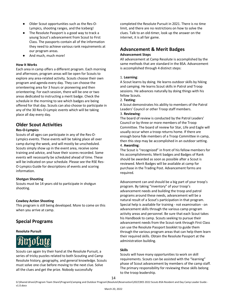- Older Scout opportunities such as the Res-O-Lympics, shooting ranges, and the Iceberg!
- The Resolute Passport is a good way to track a young Scout's advancement from Scout to First Class. The passports contain all of the information they need to achieve various rank requirements at our program areas.
- And much, much more!

## **How It Works**

Each area in camp offers a different program. Each morning and afternoon, program areas will be open for Scouts to explore any area-related activity. Scouts choose their own program and agenda every day. They can choose the orienteering area for 3 hours or pioneering and then orienteering. For each session, there will be one or two areas dedicated to instructing a merit badge. Check the schedule in the morning to see which badges are being offered for that day. Scouts can also choose to participate in any of the 30 Res-O-Lympic events which will be taking place all day every day.

# **Older Scout Activities**

## **Res-O-Lympics**

Scouts of all ages can participate in any of the Res-O-Lympics events. These events will be taking place all over camp during the week, and will mostly be unscheduled. Scouts simply show up in the event area, receive some training and advice, and have their scores recorded. Some events will necessarily be scheduled ahead of time. These will be indicated on your schedule. Please see the RSE Res-O-Lympics Guide for descriptions of events and scoring information.

#### **Shotgun Shooting**

Scouts must be 14 years old to participate in shotgun shooting.

#### **Cowboy Action Shooting**

This program is still being developed. More to come on this when you arrive at camp.

# **Special Programs**

#### **Resolute Pursuit**



Scouts can again try their hand at the Resolute Pursuit, a series of tricky puzzles related to both Scouting and Camp Resolute history, geography, and general knowledge. Scouts must solve one clue before moving to the next clue. Solve all the clues and get the prize. Nobody successfully

completed the Resolute Pursuit in 2021. There is no time limit, and there are no restrictions on how to solve the clues. Talk to an old-timer, look up the answer on the internet, it is all fair game.

# **Advancement & Merit Badges**

### **Advancement Steps**

All advancement at Camp Resolute is accomplished by the same methods that are standard in the BSA. Advancement is accomplished through 4 distinct steps:

## 1. **Learning**:

A Scout learns by doing. He learns outdoor skills by hiking and camping. He learns Scout skills in Patrol and Troop sessions. He advances naturally by doing things with his fellow Scouts.

#### 2. **Testing**:

A Scout demonstrates his ability to members of the Patrol Leaders' Council or other Troop staff members.

#### 3. **Reviewing**:

The board of review is conducted by the Patrol Leaders' Council or by three or more members of the Troop Committee. The board of review for Star, Life and Eagle will usually occur when a troop returns home. If there are enough bona fide members of a Troop Committee in camp, then this step may be accomplished in an outdoor setting. 4. **Awarding**:

The Scout is "recognized" in front of his fellow members for his accomplishments. Merit badges and Badges of Rank should be awarded as soon as possible after a Scout is reviewed. Merit Badges will be available at camp for purchase in the Trading Post. Advancement forms are required.

Advancement can and should be a big part of your troop's program. By taking "inventory" of your troop's advancement needs and building the troop and patrol programs around these needs, advancement will be a natural result of a Scout's participation in that program. Special help is available for training - not examination - on advancement skills through the various camp program activity areas and personnel. Be sure that each Scout takes his Handbook to camp. Scouts seeking to pursue their advancement needs from the Scout rank through First Class can use the Resolute Passport booklet to guide them through the various program areas that can help them learn their required skills. Obtain the Resolute Passport at the administration building.

#### **Skills**

Scouts will have many opportunities to work on skill requirements. Scouts can be assisted with the "learning" phase of Scout advancement by members of the camp staff. The primary responsibility for reviewing these skills belong to the troop leadership.

14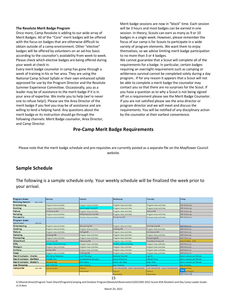#### **The Resolute Merit Badge Program**

Once more, Camp Resolute is adding to our wide array of Merit Badges. All of the "Core" merit badges will be offered with the focus on badges that are otherwise difficult to obtain outside of a camp environment. Other "elective" badges will be offered by volunteers on an ad-hoc basis according to the counselor's availability from week to week. Please check which elective badges are being offered during your week at check in.

Every merit badge counselor in camp has gone through a week of training in his or her area. They are using the National Camp School Syllabi or their own enhanced syllabi approved for use by the Program Director and the Resolute Summer Experience Committee. Occasionally, you as a leader may be of assistance to the merit badge if it is in your area of expertise. We invite you to help (we're never one to refuse help!). Please see the Area Director of the merit badge if you feel you may be of assistance and are willing to lend a helping hand. Any questions about the merit badge or its instruction should go through the following channels: Merit Badge counselor, Area Director, and Camp Director.

Merit badge sessions are now in "block" time. Each session will be 3 hours and most badges can be earned in one session. In theory, Scouts can earn as many as 9 or 10 badges in a single week. However, please remember the focus of our camp is for Scouts to participate in a wide variety of program elements. We want them to enjoy themselves, so we advise limiting merit badge participation to no more than 3 or 4 badges.

We cannot guarantee that a Scout will complete all of the requirements for a badge. In particular, certain badges requiring an overnight requirement such as camping or wilderness survival cannot be completed solely during a day program.. If for any reason it appears that a Scout will not be able to complete a merit badge the counselor may contact you so that there are no surprises for the Scout. If you have a question as to why a Scout is not being signed off on a requirement please see the Merit Badge Counselor. If you are not satisfied please see the area director or program director and we will meet and discuss the requirements. You will be notified of any disciplinary action by the counselor at their earliest convenience.

# **Pre-Camp Merit Badge Requirements**

Please note that the merit badge schedule and pre-requisites are currently posted as a separate file on the Mayflower Council website.

# **Sample Schedule**

The following is a sample schedule only. Your weekly schedule will be finalized the week prior to your arrival.

| <b>Program Areas</b><br><b>Morning Session</b><br>$8:30 - 12:00$ | Monday                  | Tuesday                  | Wednesday                               | Thursday                                | Friday                      |
|------------------------------------------------------------------|-------------------------|--------------------------|-----------------------------------------|-----------------------------------------|-----------------------------|
| Orienteering                                                     | Program Area Activities | Program Area Activities  | Program Area Activities                 | Program Area Activities                 | MB Follow Up                |
| Cooking                                                          | Program Area Activities | Scout Leader Cook-Off    | Program Area Activities                 | Program Area Activities                 | MB Follow Up                |
| Nature                                                           | <b>Env Science MB</b>   | Program Area Activities  | Program Area Activities                 | Nature MB                               | MB Follow Up                |
| Camping                                                          | Program Area Activities | Wilderness Survival MB   | Program Area Activities                 | Program Area Activities                 | MB Follow Up                |
| Pioneering                                                       | Program Area Activities | Program Area Activities  | Pioneering MB                           | Program Area Activities                 | MB Follow Up                |
| <b>Program Areas</b>                                             |                         |                          |                                         |                                         |                             |
| $1:00 - 4:30$<br><b>Afternoon Session</b>                        |                         |                          |                                         |                                         |                             |
| Orienteering                                                     | Program Area Activities | Geocaching MB            | Program Area Activities                 | Orienteering MB                         | <b>MB Follow Up</b>         |
| Cooking                                                          | Program Area Activities | Program Area Activities  | Cooking MB                              | Program Area Activities                 | <b>MB Follow Up</b>         |
| Nature                                                           | Program Area Activities | <b>Fishing MB</b>        | Program Area Activities                 | Env Science MB                          | MB Follow Up                |
| Camping                                                          | Camping MB              | Program Area Activities  | Program Area Activities                 | Program Area Activities                 | MB Follow Up                |
| Pioneering                                                       | Program Area Activities | Program Area Activities  | Program Area Activities                 | Pioneering MB                           | <b>MB Follow Up</b>         |
| Waterfront                                                       | Swimming MB             | Lifesaving MB            | Program Area Activities                 | Small Boat Sailing MB                   | Apache Relay - 2:45         |
| Rifle                                                            | Cowboy Action Shooting  | Program Area Activities  | <b>Cowboy Action Shooting</b>           | Program Area Activities                 | MB Follow Up                |
| Shotgun                                                          | Program Area Activities | Program Area Activities  | Program Area Activities                 | Program Area Activities                 | MB Follow Up                |
| Archery                                                          | Archery MB              | Program Area Activities  | Program Area Activities                 | Program Area Activities                 | MB Follow Up                |
| Cope                                                             | Program Area Activities | Climbing MB              | Program Area Activities                 | Program Area Activities                 | MB Follow Up                |
| Res-O-Lympics - Fowler                                           | Tent Setup/Takedown     | Card Throwing            | <b>Resolute Gauntlet</b>                | Log Lift                                | Res-O-Lympics Last Minute   |
| Res-O-Lympics - Ballfield                                        | <b>Football Toss</b>    | Double Ball for Accuracy | Soccer Shoot-Out                        | <b>Lifeline Throw</b>                   | Res-O-Lympics Last Minute   |
| Res-O-Lympics - Buster's                                         | Woodcarving             | Kim's Game               | Match Light Relay                       | <b>Angry Birds</b>                      | Res-O-Lympics Last Minute   |
| Axe Throwing                                                     | Axe Throwing            | Axe Throwing             | <b>Axe Throwing</b>                     | Axe Throwing                            | Axe Throwing                |
| Campwide<br>$3:30 - 4:30$                                        | <b>Opening Campfire</b> | Free Swim                | 1:00 First Aid MB - Lewis Training Room | 1:00 First Aid MB - Lewis Training Room | 1.45 Anache Relay           |
|                                                                  |                         | <b>Free Shooting</b>     | Free Swim                               | Free Swim                               | <b>G24</b><br>sing Campfire |
|                                                                  |                         |                          | Free Shooting                           | Free Shooting                           | <b>MB Follow Up</b>         |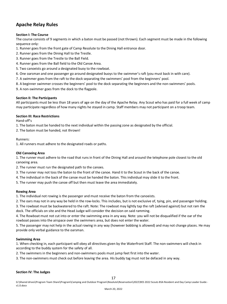# **Apache Relay Rules**

# **Section I: The Course**

The course consists of 9 segments in which a baton must be passed (not thrown). Each segment must be made in the following sequence only:

- 1. Runner goes from the front gate of Camp Resolute to the Dining Hall entrance door.
- 2. Runner goes from the Dining Hall to the Trestle.
- 3. Runner goes from the Trestle to the Ball Field.
- 4. Runner goes from the Ball field to the Old Canoe Area.
- 5. Two canoeists go around a designated buoy to the rowboat.
- 6. One oarsman and one passenger go around designated buoys to the swimmer's raft (you must back in with care).
- 7. A swimmer goes from the raft to the dock separating the swimmers' pool from the beginners' pool.
- 8. A beginner swimmer crosses the beginners' pool to the dock separating the beginners and the non-swimmers' pools.
- 9. A non-swimmer goes from the dock to the flagpole.

# **Section II: The Participants**

All participants must be less than 18 years of age on the day of the Apache Relay. Any Scout who has paid for a full week of camp may participate regardless of how many nights he stayed in camp. Staff members may not participant on a troop team.

# **Section III: Race Restrictions**

Hand-off's

1. The baton must be handed to the next individual within the passing zone as designated by the official.

2. The baton must be handed, not thrown!

## Runners:

1. All runners must adhere to the designated roads or paths.

# **Old Canoeing Area**

1. The runner must adhere to the road that runs in front of the Dining Hall and around the telephone pole closest to the old canoeing area.

- 2. The runner must run the designated path to the canoes.
- 3. The runner may not toss the baton to the front of the canoe. Hand it to the Scout in the back of the canoe.
- 4. The individual in the back of the canoe must be handed the baton. This individual may slide it to the front.
- 5. The runner may push the canoe off but then must leave the area immediately.

# **Rowing Area**

1. The individual not rowing is the passenger and must receive the baton from the canoeists.

2. The oars may not in any way be held in the row-locks. This includes, but is not exclusive of, tying, pin, and passenger holding. 3. The rowboat must be backwatered to the raft. Note: The rowboat may lightly tap the raft (advised against) but not ram the dock. The officials on site and the Head Judge will consider the decision on said ramming.

4. The Rowboat must not cut into or enter the swimming area in any way. Note: you will not be disqualified if the oar of the rowboat passes into the airspace over the swimmers area, but does not enter the water.

5. The passenger may not help in the actual rowing in any way (however bobbing is allowed) and may not change places. He may provide only verbal guidance to the oarsman.

# **Swimming Area**

1. When checking in, each participant will obey all directives given by the Waterfront Staff. The non-swimmers will check in according to the buddy system for the safety of all.

2. The swimmers in the beginners and non-swimmers pools must jump feet first into the water.

3. The non-swimmers must check out before leaving the area. His buddy tag must not be defaced in any way.

# **Section IV: The Judges**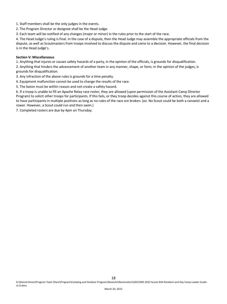1. Staff members shall be the only judges in the events.

2. The Program Director or designee shall be the Head Judge.

3. Each team will be notified of any changes (major or minor) in the rules prior to the start of the race.

4. The Head Judge's ruling is final. In the case of a dispute, then the Head Judge may assemble the appropriate officials from the dispute, as well as Scoutmasters from troops involved to discuss the dispute and come to a decision. However, the final decision is in the Head Judge's.

#### **Section V: Miscellaneous**

1. Anything that injures or causes safety hazards of a party, in the opinion of the officials, is grounds for disqualification.

2. Anything that hinders the advancement of another team in any manner, shape, or form; in the opinion of the judges, is grounds for disqualification.

- 3. Any infraction of the above rules is grounds for a time penalty.
- 4. Equipment malfunction cannot be used to change the results of the race.
- 5. The baton must be within reason and not create a safety hazard.

6. If a troop is unable to fill an Apache Relay race roster, they are allowed (upon permission of the Assistant Camp Director Program) to solicit other troops for participants. If this fails, or they troop decides against this course of action, they are allowed to have participants in multiple positions as long as no rules of the race are broken. (ex. No Scout could be both a canoeist and a rower. However, a Scout could run and then swim.)

7. Completed rosters are due by 4pm on Thursday.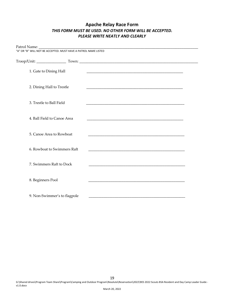# **Apache Relay Race Form** *THIS FORM MUST BE USED. NO OTHER FORM WILL BE ACCEPTED. PLEASE WRITE NEATLY AND CLEARLY*

| "A" OR "B" WILL NOT BE ACCEPTED. MUST HAVE A PATROL NAME LISTED |                              |  |                                                                                                                  |  |  |  |  |
|-----------------------------------------------------------------|------------------------------|--|------------------------------------------------------------------------------------------------------------------|--|--|--|--|
|                                                                 |                              |  |                                                                                                                  |  |  |  |  |
| 1. Gate to Dining Hall                                          |                              |  |                                                                                                                  |  |  |  |  |
| 2. Dining Hall to Trestle                                       |                              |  |                                                                                                                  |  |  |  |  |
| 3. Trestle to Ball Field                                        |                              |  |                                                                                                                  |  |  |  |  |
| 4. Ball Field to Canoe Area                                     |                              |  | and the control of the control of the control of the control of the control of the control of the control of the |  |  |  |  |
| 5. Canoe Area to Rowboat                                        |                              |  |                                                                                                                  |  |  |  |  |
| 6. Rowboat to Swimmers Raft                                     |                              |  |                                                                                                                  |  |  |  |  |
| 7. Swimmers Raft to Dock                                        |                              |  | and the control of the control of the control of the control of the control of the control of the control of the |  |  |  |  |
| 8. Beginners Pool                                               |                              |  |                                                                                                                  |  |  |  |  |
|                                                                 | 9. Non-Swimmer's to flagpole |  |                                                                                                                  |  |  |  |  |